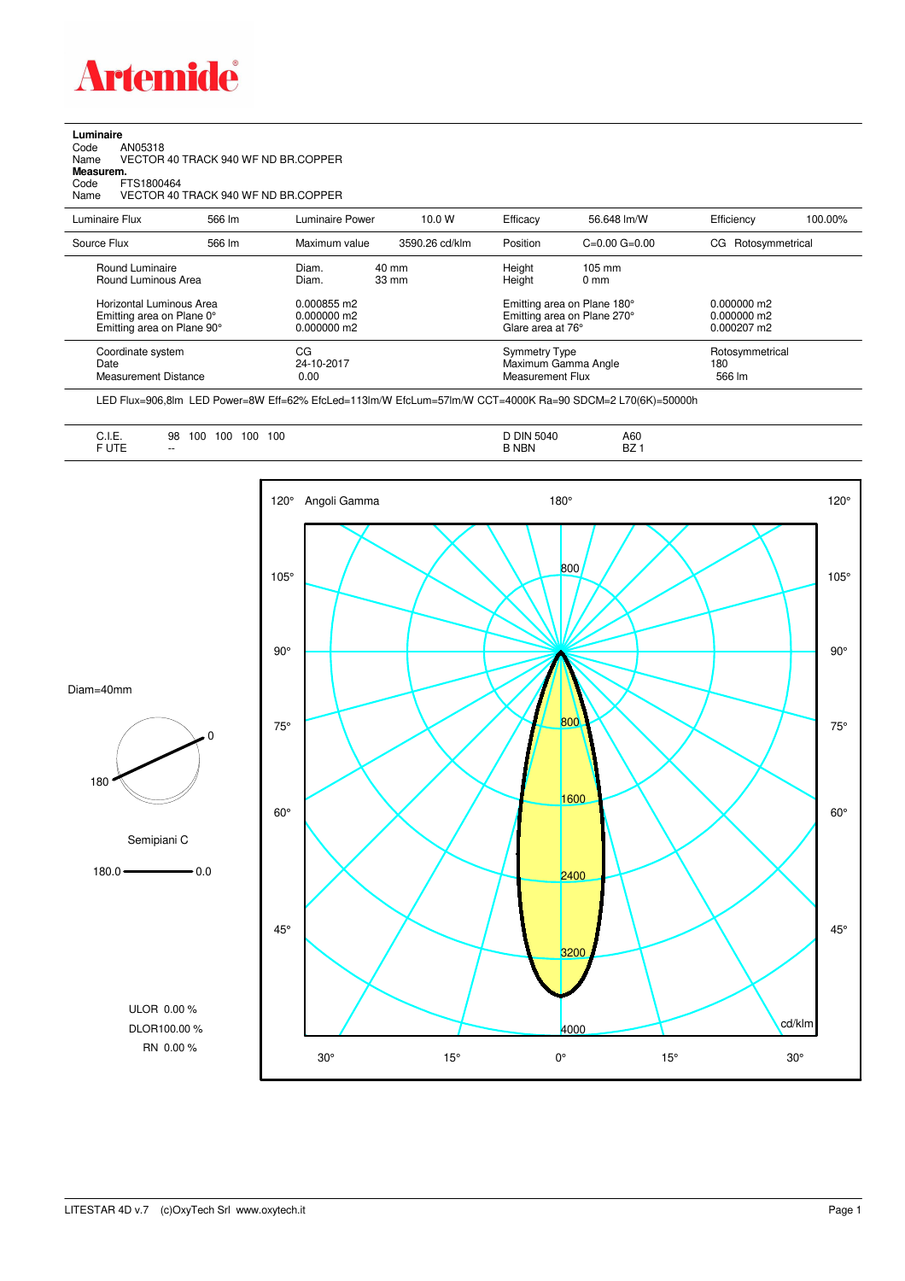

**Luminaire**<br>Code<br>Name Code AN05318 Name VECTOR 40 TRACK 940 WF ND BR.COPPER

**Measurem.**

Code FTS1800464 Name VECTOR 40 TRACK 940 WF ND BR.COPPER

| Luminaire Flux                                                                                                                | 566 lm | Luminaire Power                                                 | 10.0 W                   | Efficacy | 56.648 lm/W                                                                                                                               | Efficiency            | 100.00%         |
|-------------------------------------------------------------------------------------------------------------------------------|--------|-----------------------------------------------------------------|--------------------------|----------|-------------------------------------------------------------------------------------------------------------------------------------------|-----------------------|-----------------|
| Source Flux                                                                                                                   | 566 lm | Maximum value                                                   | 3590.26 cd/klm           | Position | $C=0.00$ $G=0.00$                                                                                                                         | Rotosymmetrical<br>CG |                 |
| Round Luminaire<br>Round Luminous Area<br>Horizontal Luminous Area<br>Emitting area on Plane 0°<br>Emitting area on Plane 90° |        | Diam.<br>Diam.<br>0.000855 m2<br>$0.000000$ m2<br>$0.000000$ m2 | 40 mm<br>$33 \text{ mm}$ |          | Height<br>$105 \text{ mm}$<br>Height<br>$0 \text{ mm}$<br>Emitting area on Plane 180°<br>Emitting area on Plane 270°<br>Glare area at 76° |                       |                 |
| Coordinate system<br>Date<br>Measurement Distance                                                                             |        | CG<br>24-10-2017<br>0.00                                        |                          |          | <b>Symmetry Type</b><br>Maximum Gamma Angle<br>Measurement Flux                                                                           |                       | Rotosymmetrical |

LED Flux=906,8lm LED Power=8W Eff=62% EfcLed=113lm/W EfcLum=57lm/W CCT=4000K Ra=90 SDCM=2 L70(6K)=50000h